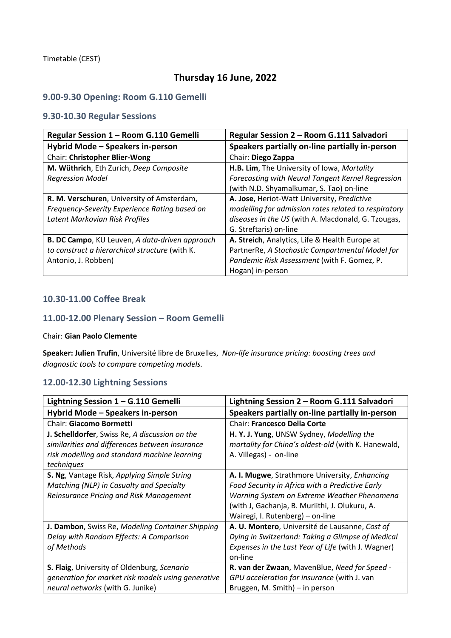## **Thursday 16 June, 2022**

## **9.00-9.30 Opening: Room G.110 Gemelli**

## **9.30-10.30 Regular Sessions**

| Regular Session 1 - Room G.110 Gemelli         | Regular Session 2 - Room G.111 Salvadori             |
|------------------------------------------------|------------------------------------------------------|
| Hybrid Mode - Speakers in-person               | Speakers partially on-line partially in-person       |
| <b>Chair: Christopher Blier-Wong</b>           | Chair: Diego Zappa                                   |
| M. Wüthrich, Eth Zurich, Deep Composite        | H.B. Lim, The University of Iowa, Mortality          |
| <b>Regression Model</b>                        | Forecasting with Neural Tangent Kernel Regression    |
|                                                | (with N.D. Shyamalkumar, S. Tao) on-line             |
| R. M. Verschuren, University of Amsterdam,     | A. Jose, Heriot-Watt University, Predictive          |
| Frequency-Severity Experience Rating based on  | modelling for admission rates related to respiratory |
| Latent Markovian Risk Profiles                 | diseases in the US (with A. Macdonald, G. Tzougas,   |
|                                                | G. Streftaris) on-line                               |
| B. DC Campo, KU Leuven, A data-driven approach | A. Streich, Analytics, Life & Health Europe at       |
| to construct a hierarchical structure (with K. | PartnerRe, A Stochastic Compartmental Model for      |
| Antonio, J. Robben)                            | Pandemic Risk Assessment (with F. Gomez, P.          |
|                                                | Hogan) in-person                                     |

## **10.30-11.00 Coffee Break**

#### **11.00-12.00 Plenary Session – Room Gemelli**

#### Chair: **Gian Paolo Clemente**

**Speaker: Julien Trufin**, Université libre de Bruxelles, *Non-life insurance pricing: boosting trees and diagnostic tools to compare competing models.*

## **12.00-12.30 Lightning Sessions**

| Lightning Session $1 - G.110$ Gemelli              | Lightning Session 2 - Room G.111 Salvadori          |
|----------------------------------------------------|-----------------------------------------------------|
| Hybrid Mode - Speakers in-person                   | Speakers partially on-line partially in-person      |
| Chair: Giacomo Bormetti                            | <b>Chair: Francesco Della Corte</b>                 |
| J. Schelldorfer, Swiss Re, A discussion on the     | H. Y. J. Yung, UNSW Sydney, Modelling the           |
| similarities and differences between insurance     | mortality for China's oldest-old (with K. Hanewald, |
| risk modelling and standard machine learning       | A. Villegas) - on-line                              |
| techniques                                         |                                                     |
| S. Ng, Vantage Risk, Applying Simple String        | A. I. Mugwe, Strathmore University, Enhancing       |
| Matching (NLP) in Casualty and Specialty           | Food Security in Africa with a Predictive Early     |
| Reinsurance Pricing and Risk Management            | Warning System on Extreme Weather Phenomena         |
|                                                    | (with J, Gachanja, B. Muriithi, J. Olukuru, A.      |
|                                                    | Wairegi, I. Rutenberg) – on-line                    |
| J. Dambon, Swiss Re, Modeling Container Shipping   | A. U. Montero, Université de Lausanne, Cost of      |
| Delay with Random Effects: A Comparison            | Dying in Switzerland: Taking a Glimpse of Medical   |
| of Methods                                         | Expenses in the Last Year of Life (with J. Wagner)  |
|                                                    | on-line                                             |
| S. Flaig, University of Oldenburg, Scenario        | R. van der Zwaan, MavenBlue, Need for Speed -       |
| generation for market risk models using generative | GPU acceleration for insurance (with J. van         |
| neural networks (with G. Junike)                   | Bruggen, M. Smith) – in person                      |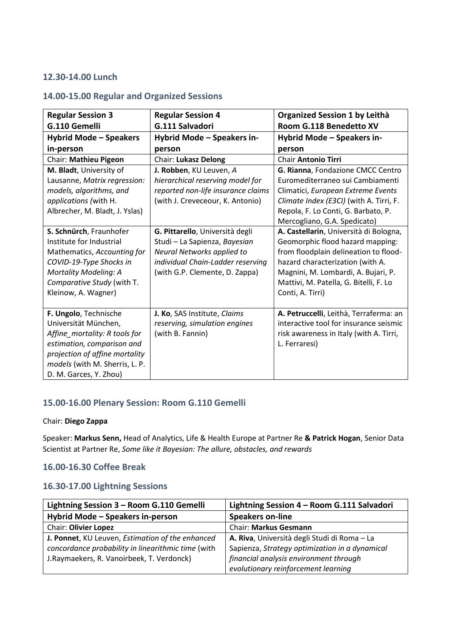## **12.30-14.00 Lunch**

# **14.00-15.00 Regular and Organized Sessions**

| <b>Regular Session 3</b>       | <b>Regular Session 4</b>           | Organized Session 1 by Leithà           |
|--------------------------------|------------------------------------|-----------------------------------------|
| G.110 Gemelli                  | G.111 Salvadori                    | Room G.118 Benedetto XV                 |
| <b>Hybrid Mode - Speakers</b>  | Hybrid Mode - Speakers in-         | Hybrid Mode - Speakers in-              |
| in-person                      | person                             | person                                  |
| Chair: Mathieu Pigeon          | <b>Chair: Lukasz Delong</b>        | <b>Chair Antonio Tirri</b>              |
| M. Bladt, University of        | J. Robben, KU Leuven, A            | G. Rianna, Fondazione CMCC Centro       |
| Lausanne, Matrix regression:   | hierarchical reserving model for   | Euromediterraneo sui Cambiamenti        |
| models, algorithms, and        | reported non-life insurance claims | Climatici, European Extreme Events      |
| applications (with H.          | (with J. Creveceour, K. Antonio)   | Climate Index (E3CI) (with A. Tirri, F. |
| Albrecher, M. Bladt, J. Yslas) |                                    | Repola, F. Lo Conti, G. Barbato, P.     |
|                                |                                    | Mercogliano, G.A. Spedicato)            |
| S. Schnürch, Fraunhofer        | G. Pittarello, Università degli    | A. Castellarin, Università di Bologna,  |
| Institute for Industrial       | Studi - La Sapienza, Bayesian      | Geomorphic flood hazard mapping:        |
| Mathematics, Accounting for    | Neural Networks applied to         | from floodplain delineation to flood-   |
| COVID-19-Type Shocks in        | individual Chain-Ladder reserving  | hazard characterization (with A.        |
| Mortality Modeling: A          | (with G.P. Clemente, D. Zappa)     | Magnini, M. Lombardi, A. Bujari, P.     |
| Comparative Study (with T.     |                                    | Mattivi, M. Patella, G. Bitelli, F. Lo  |
| Kleinow, A. Wagner)            |                                    | Conti, A. Tirri)                        |
|                                |                                    |                                         |
| F. Ungolo, Technische          | J. Ko, SAS Institute, Claims       | A. Petruccelli, Leithà, Terraferma: an  |
| Universität München,           | reserving, simulation engines      | interactive tool for insurance seismic  |
| Affine_mortality: R tools for  | (with B. Fannin)                   | risk awareness in Italy (with A. Tirri, |
| estimation, comparison and     |                                    | L. Ferraresi)                           |
| projection of affine mortality |                                    |                                         |
| models (with M. Sherris, L. P. |                                    |                                         |
| D. M. Garces, Y. Zhou)         |                                    |                                         |

## **15.00-16.00 Plenary Session: Room G.110 Gemelli**

#### Chair: **Diego Zappa**

Speaker: **Markus Senn,** Head of Analytics, Life & Health Europe at Partner Re **& Patrick Hogan**, Senior Data Scientist at Partner Re, *Some like it Bayesian: The allure, obstacles, and rewards*

## **16.00-16.30 Coffee Break**

## **16.30-17.00 Lightning Sessions**

| Lightning Session 3 - Room G.110 Gemelli           | Lightning Session 4 - Room G.111 Salvadori     |
|----------------------------------------------------|------------------------------------------------|
| Hybrid Mode - Speakers in-person                   | <b>Speakers on-line</b>                        |
| <b>Chair: Olivier Lopez</b>                        | <b>Chair: Markus Gesmann</b>                   |
| J. Ponnet, KU Leuven, Estimation of the enhanced   | A. Riva, Università degli Studi di Roma - La   |
| concordance probability in linearithmic time (with | Sapienza, Strategy optimization in a dynamical |
| J.Raymaekers, R. Vanoirbeek, T. Verdonck)          | financial analysis environment through         |
|                                                    | evolutionary reinforcement learning            |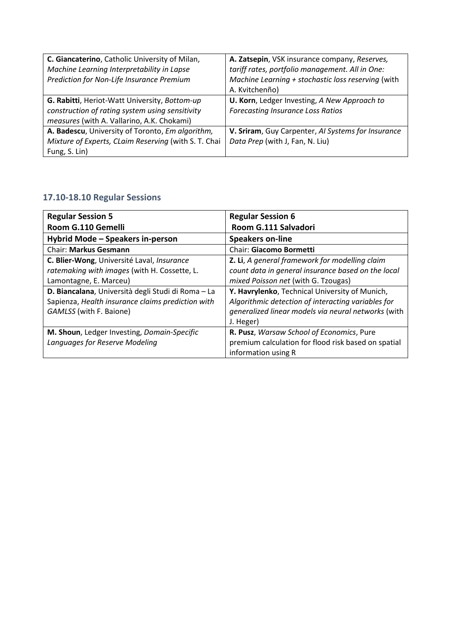| C. Giancaterino, Catholic University of Milan,<br>Machine Learning Interpretability in Lapse<br>Prediction for Non-Life Insurance Premium | A. Zatsepin, VSK insurance company, Reserves,<br>tariff rates, portfolio management. All in One:<br>Machine Learning + stochastic loss reserving (with |
|-------------------------------------------------------------------------------------------------------------------------------------------|--------------------------------------------------------------------------------------------------------------------------------------------------------|
|                                                                                                                                           | A. Kvitchenño)                                                                                                                                         |
| G. Rabitti, Heriot-Watt University, Bottom-up                                                                                             | U. Korn, Ledger Investing, A New Approach to                                                                                                           |
| construction of rating system using sensitivity                                                                                           | <b>Forecasting Insurance Loss Ratios</b>                                                                                                               |
| measures (with A. Vallarino, A.K. Chokami)                                                                                                |                                                                                                                                                        |
| A. Badescu, University of Toronto, Em algorithm,                                                                                          | V. Sriram, Guy Carpenter, AI Systems for Insurance                                                                                                     |
| Mixture of Experts, CLaim Reserving (with S. T. Chai                                                                                      | Data Prep (with J, Fan, N. Liu)                                                                                                                        |
| Fung, S. Lin)                                                                                                                             |                                                                                                                                                        |

# **17.10-18.10 Regular Sessions**

| <b>Regular Session 5</b>                           | <b>Regular Session 6</b>                            |
|----------------------------------------------------|-----------------------------------------------------|
| Room G.110 Gemelli                                 | Room G.111 Salvadori                                |
| Hybrid Mode - Speakers in-person                   | <b>Speakers on-line</b>                             |
| <b>Chair: Markus Gesmann</b>                       | Chair: Giacomo Bormetti                             |
| C. Blier-Wong, Université Laval, Insurance         | Z. Li, A general framework for modelling claim      |
| ratemaking with images (with H. Cossette, L.       | count data in general insurance based on the local  |
| Lamontagne, E. Marceu)                             | mixed Poisson net (with G. Tzougas)                 |
| D. Biancalana, Università degli Studi di Roma - La | Y. Havrylenko, Technical University of Munich,      |
| Sapienza, Health insurance claims prediction with  | Algorithmic detection of interacting variables for  |
| GAMLSS (with F. Baione)                            | generalized linear models via neural networks (with |
|                                                    | J. Heger)                                           |
| M. Shoun, Ledger Investing, Domain-Specific        | R. Pusz, Warsaw School of Economics, Pure           |
| Languages for Reserve Modeling                     | premium calculation for flood risk based on spatial |
|                                                    | information using R                                 |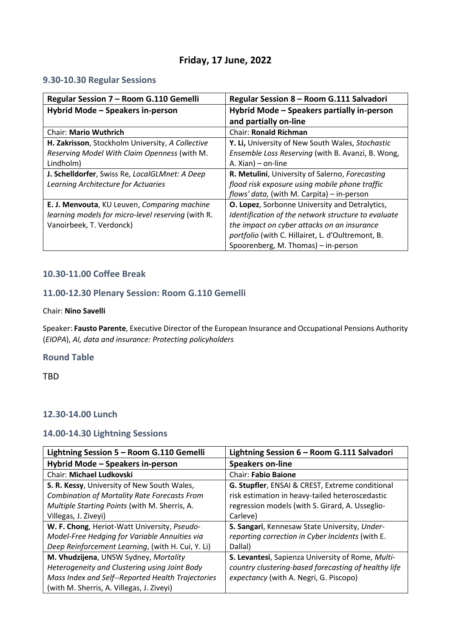## **Friday, 17 June, 2022**

## **9.30-10.30 Regular Sessions**

| Regular Session 7 - Room G.110 Gemelli             | Regular Session 8 - Room G.111 Salvadori            |
|----------------------------------------------------|-----------------------------------------------------|
| Hybrid Mode - Speakers in-person                   | Hybrid Mode - Speakers partially in-person          |
|                                                    | and partially on-line                               |
| <b>Chair: Mario Wuthrich</b>                       | <b>Chair: Ronald Richman</b>                        |
| H. Zakrisson, Stockholm University, A Collective   | Y. Li, University of New South Wales, Stochastic    |
| Reserving Model With Claim Openness (with M.       | Ensemble Loss Reserving (with B. Avanzi, B. Wong,   |
| Lindholm)                                          | A. $Xian$ ) – on-line                               |
| J. Schelldorfer, Swiss Re, LocalGLMnet: A Deep     | R. Metulini, University of Salerno, Forecasting     |
| Learning Architecture for Actuaries                | flood risk exposure using mobile phone traffic      |
|                                                    | flows' data, (with M. Carpita) - in-person          |
| E. J. Menvouta, KU Leuven, Comparing machine       | O. Lopez, Sorbonne University and Detralytics,      |
| learning models for micro-level reserving (with R. | Identification of the network structure to evaluate |
| Vanoirbeek, T. Verdonck)                           | the impact on cyber attacks on an insurance         |
|                                                    | portfolio (with C. Hillairet, L. d'Oultremont, B.   |
|                                                    | Spoorenberg, M. Thomas) - in-person                 |

## **10.30-11.00 Coffee Break**

#### **11.00-12.30 Plenary Session: Room G.110 Gemelli**

#### Chair: **Nino Savelli**

Speaker: **Fausto Parente**, Executive Director of the European Insurance and Occupational Pensions Authority (*EIOPA*), *AI, data and insurance: Protecting policyholders*

#### **Round Table**

TBD

## **12.30-14.00 Lunch**

## **14.00-14.30 Lightning Sessions**

| Lightning Session 5 - Room G.110 Gemelli            | Lightning Session 6 - Room G.111 Salvadori           |
|-----------------------------------------------------|------------------------------------------------------|
| Hybrid Mode - Speakers in-person                    | <b>Speakers on-line</b>                              |
| Chair: Michael Ludkovski                            | <b>Chair: Fabio Baione</b>                           |
| S. R. Kessy, University of New South Wales,         | G. Stupfler, ENSAI & CREST, Extreme conditional      |
| <b>Combination of Mortality Rate Forecasts From</b> | risk estimation in heavy-tailed heteroscedastic      |
| Multiple Starting Points (with M. Sherris, A.       | regression models (with S. Girard, A. Usseglio-      |
| Villegas, J. Ziveyi)                                | Carleve)                                             |
| W. F. Chong, Heriot-Watt University, Pseudo-        | S. Sangari, Kennesaw State University, Under-        |
| Model-Free Hedging for Variable Annuities via       | reporting correction in Cyber Incidents (with E.     |
| Deep Reinforcement Learning, (with H. Cui, Y. Li)   | Dallal)                                              |
| M. Vhudzijena, UNSW Sydney, Mortality               | S. Levantesi, Sapienza University of Rome, Multi-    |
| Heterogeneity and Clustering using Joint Body       | country clustering-based forecasting of healthy life |
| Mass Index and Self--Reported Health Trajectories   | expectancy (with A. Negri, G. Piscopo)               |
| (with M. Sherris, A. Villegas, J. Ziveyi)           |                                                      |